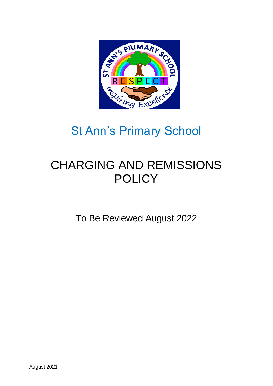

# St Ann's Primary School

# CHARGING AND REMISSIONS **POLICY**

To Be Reviewed August 2022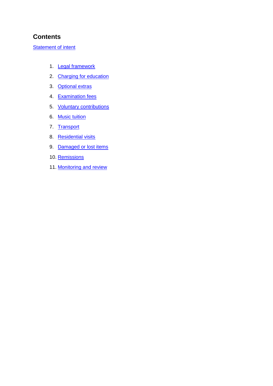## **Contents**

#### **[Statement](#page-2-0) of intent**

- 1. [Legal framework](#page-3-0)
- 2. [Charging for education](#page-3-1)
- 3. [Optional extras](#page-3-2)
- 4. [Examination fees](#page-4-0)
- 5. [Voluntary contributions](#page-5-0)
- 6. [Music tuition](#page-5-1)
- 7. [Transport](#page-5-2)
- 8. [Residential visits](#page-5-3)
- 9. [Damaged or lost items](#page-6-0)
- 10. [Remissions](#page-6-1)
- 11. [Monitoring and review](#page-6-2)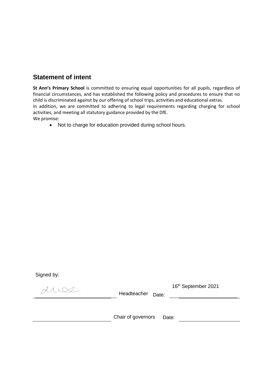# <span id="page-2-0"></span>**Statement of intent**

**St Ann's Primary School** is committed to ensuring equal opportunities for all pupils, regardless of financial circumstances, and has established the following policy and procedures to ensure that no child is discriminated against by our offering of school trips, activities and educational extras. In addition, we are committed to adhering to legal requirements regarding charging for school activities, and meeting all statutory guidance provided by the DfE. We promise:

Not to charge for education provided during school hours.

Signed by:

 $\lambda \wedge \infty$ 

Headteacher Date:

16th September 2021

Chair of governors Date: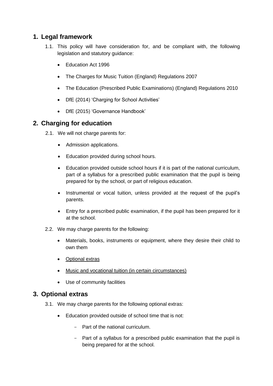# <span id="page-3-0"></span>**1. Legal framework**

- 1.1. This policy will have consideration for, and be compliant with, the following legislation and statutory guidance:
	- Education Act 1996
	- The Charges for Music Tuition (England) Regulations 2007
	- The Education (Prescribed Public Examinations) (England) Regulations 2010
	- DfE (2014) 'Charging for School Activities'
	- DfE (2015) 'Governance Handbook'

## <span id="page-3-1"></span>**2. Charging for education**

- 2.1. We will not charge parents for:
	- Admission applications.
	- Education provided during school hours.
	- Education provided outside school hours if it is part of the national curriculum, part of a syllabus for a prescribed public examination that the pupil is being prepared for by the school, or part of religious education.
	- Instrumental or vocal tuition, unless provided at the request of the pupil's parents.
	- Entry for a prescribed public examination, if the pupil has been prepared for it at the school.
- 2.2. We may charge parents for the following:
	- Materials, books, instruments or equipment, where they desire their child to own them
	- [Optional extras](#page-3-2)
	- [Music and vocational tuition \(in certain circumstances\)](#page-5-1)
	- Use of community facilities

### <span id="page-3-2"></span>**3. Optional extras**

- 3.1. We may charge parents for the following optional extras:
	- Education provided outside of school time that is not:
		- Part of the national curriculum.
		- Part of a syllabus for a prescribed public examination that the pupil is being prepared for at the school.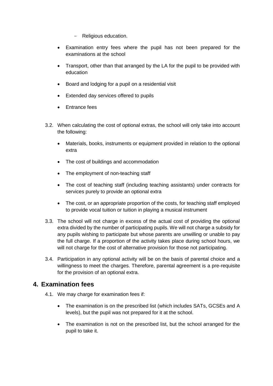- Religious education.
- Examination entry fees where the pupil has not been prepared for the examinations at the school
- Transport, other than that arranged by the LA for the pupil to be provided with education
- Board and lodging for a pupil on a residential visit
- Extended day services offered to pupils
- **Entrance fees**
- 3.2. When calculating the cost of optional extras, the school will only take into account the following:
	- Materials, books, instruments or equipment provided in relation to the optional extra
	- The cost of buildings and accommodation
	- The employment of non-teaching staff
	- The cost of teaching staff (including teaching assistants) under contracts for services purely to provide an optional extra
	- The cost, or an appropriate proportion of the costs, for teaching staff employed to provide vocal tuition or tuition in playing a musical instrument
- 3.3. The school will not charge in excess of the actual cost of providing the optional extra divided by the number of participating pupils. We will not charge a subsidy for any pupils wishing to participate but whose parents are unwilling or unable to pay the full charge. If a proportion of the activity takes place during school hours, we will not charge for the cost of alternative provision for those not participating.
- 3.4. Participation in any optional activity will be on the basis of parental choice and a willingness to meet the charges. Therefore, parental agreement is a pre-requisite for the provision of an optional extra.

### <span id="page-4-0"></span>**4. Examination fees**

- 4.1. We may charge for examination fees if:
	- The examination is on the prescribed list (which includes SATs, GCSEs and A levels), but the pupil was not prepared for it at the school.
	- The examination is not on the prescribed list, but the school arranged for the pupil to take it.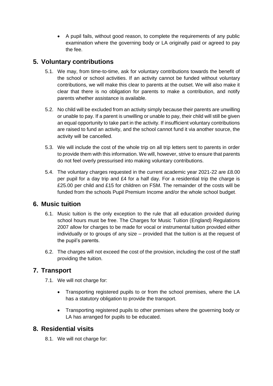A pupil fails, without good reason, to complete the requirements of any public examination where the governing body or LA originally paid or agreed to pay the fee.

# <span id="page-5-0"></span>**5. Voluntary contributions**

- 5.1. We may, from time-to-time, ask for voluntary contributions towards the benefit of the school or school activities. If an activity cannot be funded without voluntary contributions, we will make this clear to parents at the outset. We will also make it clear that there is no obligation for parents to make a contribution, and notify parents whether assistance is available.
- 5.2. No child will be excluded from an activity simply because their parents are unwilling or unable to pay. If a parent is unwilling or unable to pay, their child will still be given an equal opportunity to take part in the activity. If insufficient voluntary contributions are raised to fund an activity, and the school cannot fund it via another source, the activity will be cancelled.
- 5.3. We will include the cost of the whole trip on all trip letters sent to parents in order to provide them with this information. We will, however, strive to ensure that parents do not feel overly pressurised into making voluntary contributions.
- 5.4. The voluntary charges requested in the current academic year 2021-22 are £8.00 per pupil for a day trip and £4 for a half day. For a residential trip the charge is £25.00 per child and £15 for children on FSM. The remainder of the costs will be funded from the schools Pupil Premium Income and/or the whole school budget.

# <span id="page-5-1"></span>**6. Music tuition**

- 6.1. Music tuition is the only exception to the rule that all education provided during school hours must be free. The Charges for Music Tuition (England) Regulations 2007 allow for charges to be made for vocal or instrumental tuition provided either individually or to groups of any size – provided that the tuition is at the request of the pupil's parents.
- 6.2. The charges will not exceed the cost of the provision, including the cost of the staff providing the tuition.

# <span id="page-5-2"></span>**7. Transport**

- 7.1. We will not charge for:
	- Transporting registered pupils to or from the school premises, where the LA has a statutory obligation to provide the transport.
	- Transporting registered pupils to other premises where the governing body or LA has arranged for pupils to be educated.

### <span id="page-5-3"></span>**8. Residential visits**

8.1. We will not charge for: